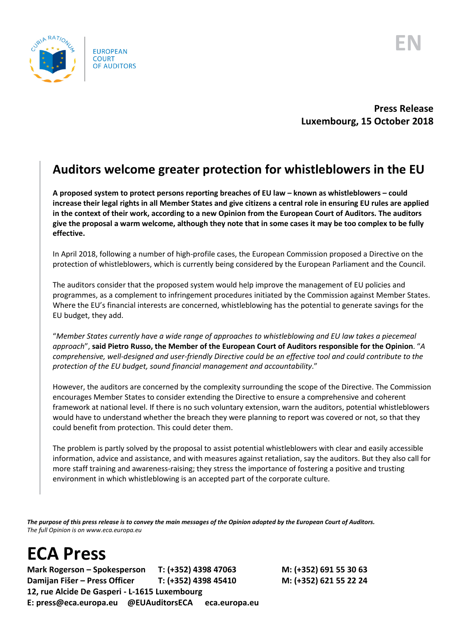

**Press Release Luxembourg, 15 October 2018**

## **Auditors welcome greater protection for whistleblowers in the EU**

**A proposed system to protect persons reporting breaches of EU law – known as whistleblowers – could increase their legal rights in all Member States and give citizens a central role in ensuring EU rules are applied in the context of their work, according to a new Opinion from the European Court of Auditors. The auditors give the proposal a warm welcome, although they note that in some cases it may be too complex to be fully effective.**

In April 2018, following a number of high-profile cases, the European Commission proposed a Directive on the protection of whistleblowers, which is currently being considered by the European Parliament and the Council.

The auditors consider that the proposed system would help improve the management of EU policies and programmes, as a complement to infringement procedures initiated by the Commission against Member States. Where the EU's financial interests are concerned, whistleblowing has the potential to generate savings for the EU budget, they add.

"*Member States currently have a wide range of approaches to whistleblowing and EU law takes a piecemeal approach*", **said Pietro Russo, the Member of the European Court of Auditors responsible for the Opinion**. "*A comprehensive, well-designed and user-friendly Directive could be an effective tool and could contribute to the protection of the EU budget, sound financial management and accountability*."

However, the auditors are concerned by the complexity surrounding the scope of the Directive. The Commission encourages Member States to consider extending the Directive to ensure a comprehensive and coherent framework at national level. If there is no such voluntary extension, warn the auditors, potential whistleblowers would have to understand whether the breach they were planning to report was covered or not, so that they could benefit from protection. This could deter them.

The problem is partly solved by the proposal to assist potential whistleblowers with clear and easily accessible information, advice and assistance, and with measures against retaliation, say the auditors. But they also call for more staff training and awareness-raising; they stress the importance of fostering a positive and trusting environment in which whistleblowing is an accepted part of the corporate culture.

The purpose of this press release is to convey the main messages of the Opinion adopted by the European Court of Auditors. *The full Opinion is on [www.eca.europa.eu](http://www.eca.europa.eu/)*

## **ECA Press**

**Mark Rogerson – Spokesperson T: (+352) 4398 47063 M: (+352) 691 55 30 63 Damijan Fišer – Press Officer T: (+352) 4398 45410 M: (+352) 621 55 22 24 12, rue Alcide De Gasperi - L-1615 Luxembourg E: press@eca.europa.eu @EUAuditorsECA eca.europa.eu**